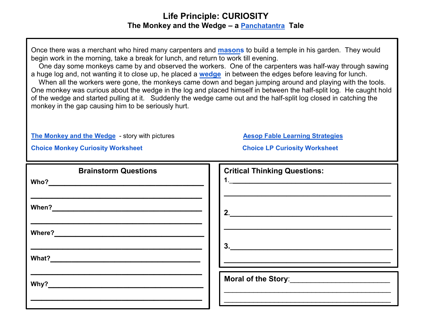## **Life Principle: CURIOSITY The Monkey and the Wedge – a [Panchatantra](http://www.talesofpanchatantra.com/background-and-summary) Tale**

Once there was a merchant who hired many carpenters and **[masons](https://www.merriam-webster.com/dictionary/mason)** to build a temple in his garden. They would begin work in the morning, take a break for lunch, and return to work till evening.

 One day some monkeys came by and observed the workers. One of the carpenters was half-way through sawing a huge log and, not wanting it to close up, he placed a **[wedge](https://www.merriam-webster.com/dictionary/wedge)** in between the edges before leaving for lunch.

 When all the workers were gone, the monkeys came down and began jumping around and playing with the tools. One monkey was curious about the wedge in the log and placed himself in between the half-split log. He caught hold of the wedge and started pulling at it. Suddenly the wedge came out and the half-split log closed in catching the monkey in the gap causing him to be seriously hurt.

**[The Monkey and the Wedge](http://www.talesofpanchatantra.com/the-monkey-and-the-wedge)** - story with pictures **[Aesop Fable Learning Strategies](http://www.greatexpectations.org/Websites/greatexpectations/images/pdf/lp/cooperation/Aesops%20Fables%20Learning%20Strategies.pdf)** 

**[Choice Monkey Curiosity Worksheet](http://www.greatexpectations.org/Websites/greatexpectations/images/pdf/lp/curiosity/Choice%20Monkey%20Curiosity%20Wkst%20.pdf) [Choice LP Curiosity](http://www.greatexpectations.org/Websites/greatexpectations/images/pdf/lp/curiosity/Choice%20LP%20Curiosity%20Wkst%20.pdf) Worksheet** 

| <b>Brainstorm Questions</b> | <b>Critical Thinking Questions:</b> |
|-----------------------------|-------------------------------------|
|                             |                                     |
|                             | 2.                                  |
|                             |                                     |
|                             | 3.                                  |
|                             |                                     |
|                             |                                     |
|                             |                                     |